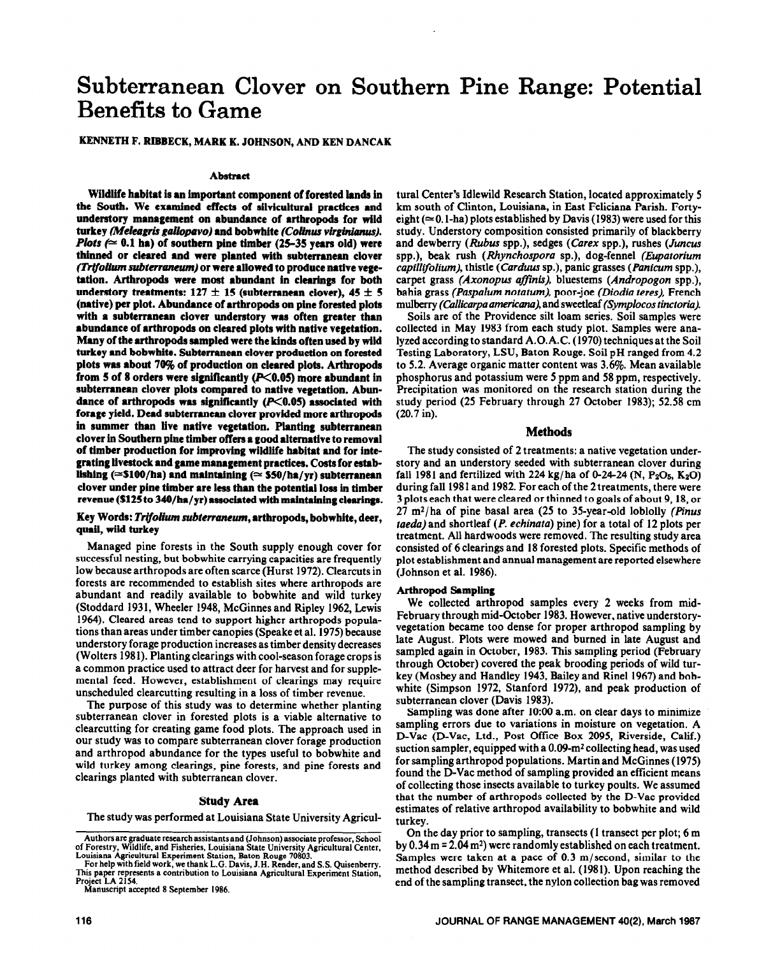# **Subterranean Clover on Southern Pine Range: Potential Benefits to Game**

# **KENNETH F. RIBBECK, MARK K. JOHNSON, AND KEN DANCAK**

#### Abstract

**Wildlife habitat is an important component of forested lands in the South. We examined effects of silvicultural practices and understory management on abundance of arthropods for wild**  turkey *(Meleagris gallopavo)* and bobwhite *(Colinus virginianus)*. *Plots (* $\simeq$  0.1 ha) of southern pine timber (25-35 years old) were **thinned or cleared and were planted with subterranean clover (Tr(folium** *subterraneum)* **or were allowed to produce native vege**tation. Arthropods were most abundant in clearings for both understory treatments:  $127 \pm 15$  (subterranean clover),  $45 \pm 5$ **(native) per plot. Abundance of arthropods on plne forested plots with a subterranean clover understory was often greater than abundance of arthropods on cleared plots with native vegetation. Many of the arthropods sampled were the kinds often used by wild turkey and bobwhite. Subterranean clover production on forested plots was about 70% of production on cleared plots. Arthropods**  from 5 of 8 orders were significantly (P<0.05) more abundant in **subterranean clover plots compared to native vegetation. Abun**dance of arthropods was significantly (P<0.05) associated with **forage yield. Dead subterranean clover provided more arthropods in summer than live native vegetation. Planting subterranean clover in Southern pine timber offers a good alternative to removal of timber production for improving wildlife habitat and for integrating livestock and game management practices. Costs for estab**lishing (= \$100/ha) and maintaining (= \$50/ha/yr) subterranean **clover under pine timber are less than the potential loss in timber revenue (S125 to 34O/hr/yr) associated with maintaining clearings.** 

## **Key Words:** *TrifoHwn subtemneum,* **arthropods, bobwhite, deer, quail, wild turkey**

Managed pine forests in the South supply enough cover for successful nesting, but bobwhite carrying capacities are frequently low because arthropods are often scarce (Hurst 1972). Clearcuts in forests are recommended to establish sites where arthropods are abundant and readily available to bobwhite and wild turkey (Stoddard 1931, Wheeler 1948, McGinnes and Ripley 1962, Lewis 1964). Cleared areas tend to support higher arthropods populations than areas under timber canopies (Speake et al. 1975) because understory forage production increases as timber density decreases (Wolters 1981). Planting clearings with cool-season forage crops is a common practice used to attract deer for harvest and for supplemental feed. However, establishment of clearings may require unscheduled clearcutting resulting in a loss of timber revenue.

The purpose of this study was to determine whether planting subterranean clover in forested plots is a viable alternative to clearcutting for creating game food plots. The approach used in our study was to compare subterranean clover forage production and arthropod abundance for the types useful to bobwhite and wild turkey among clearings, pine forests, and pine forests and clearings planted with subterranean clover.

#### **Study Area**

**The** study was performed at Louisiana State University Agricul-

**Project LA 2154. Manuscript accepted 8 September 1986.** 

tural Center's Idlewild Research Station, located approximately 5 km south of Clinton, Louisiana, in East Feliciana Parish. Fortyeight ( $\simeq$  0.1-ha) plots established by Davis (1983) were used for this study. Understory composition consisted primarily of blackberry and dewberry (Rubus spp.), sedges (Carex spp.), rushes (Juncus spp.), beak rush *(Rhynchospora* **sp.),** dog-fennel *(Eupatorium capillijblium),* thistle *(Carduus* sp.), panic grasses *(Panicum* spp.), carpet grass *(Axonopus affinis)*, bluestems *(Andropogon spp.)*, bahia grass *(Paspalum notutum),* poor-joe *(Diodia teres),* French mulberry *(Callicarpa americana)*, and sweetleaf *(Symplocos tinctoria).* 

Soils are of the Providence silt loam series. Soil samples were collected in May 1983 from each study plot. Samples were analyzed according to standard A.O.A.C. (1970) techniques at the Soil Testing Laboratory, LSU, Baton Rouge. Soil pH ranged from 4.2 to 5.2. Average organic matter content was 3.6%. Mean available phosphorus and potassium were 5 ppm and 58 ppm, respectively. Precipitation was monitored on the research station during the study period (25 February through 27 October 1983); 52.58 cm (20.7 in).

#### **Methods**

**The** study consisted of 2 treatments: a native vegetation understory and an understory seeded with subterranean clover during fall 1981 and fertilized with 224 kg/ha of 0-24-24 (N,  $P_2O_5$ , K<sub>2</sub>O) during fall 1981 and 1982. For each of the 2 treatments, there were 3 plots each that were cleared or thinned to goals of about 9,18, or 27 m\*/ha of pine basal area (25 to 35-year-old loblolly *(pinus rue&)* and shortleaf *(P. echinatu)* pine) for a total of 12 plots per treatment. All hardwoods were removed. The resulting study area consisted of 6 clearings and 18 forested plots. Specific methods of plot establishment and annual management are reported elsewhere (Johnson et al. 1986).

#### Arthropod **Somplhrg**

We collected arthropod samples every 2 weeks from mid-February through mid-October 1983. However, native understoryvegetation became too dense for proper arthropod sampling by late August. Plots were mowed and burned in late August and sampled again in October, 1983. This sampling period (February through October) covered the peak brooding periods of wild turkey (Mosbey and Handley 1943, Bailey and Rinel 1967) and bobwhite (Simpson 1972, Stanford 1972), and peak production of subterranean clover (Davis 1983).

Sampling was done after 10:00 a.m. on clear days to minimize sampling errors due to variations in moisture on vegetation. A D-Vac (D-Vac, Ltd., Post Office Box 2095, Riverside, Calif.) suction sampler, equipped with a  $0.09$ -m<sup>2</sup> collecting head, was used for sampling arthropod populations. Martin and McGinnes (1975) found the D-Vac method of sampling provided an efficient means of collecting those insects available to turkey poults. We assumed that the number of arthropods collected by the D-Vac provided estimates of relative arthropod availability to bobwhite and wild turkey.

On the day prior to sampling, transects (1 transect per plot; 6 m by 0.34 m = 2.04 m<sup>2</sup>) were randomly established on each treatment. Samples were taken at a pace of 0.3 m/second, similar to the method described by Whitemore et al. (198 1). Upon reaching the **end** of the sampling transect, the nylon collection bag was removed

**Authors arc graduate research assistants and (Johnson) associate professor, School of Forestry, Wildlife, and Fisheries, Louisiana State University Agricultural Center,**  Louisiana Agricultural Experiment Station, Baton Rouge 70803.

For help with field work, we thank L.G. Davis, J.H. Render, and S.S. Quisenberry. **Tbis paper represents a contribution to Louisiana Agricultural Experiment Station,**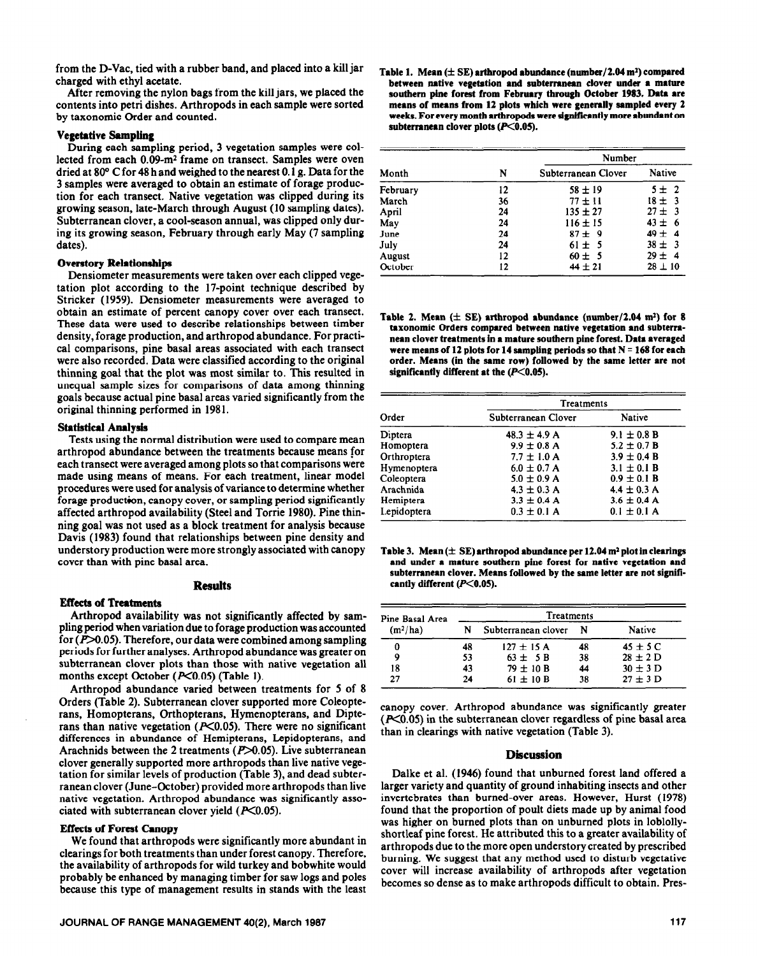from the D-Vac, tied with a rubber band, and placed into a kill jar charged with ethyl acetate.

After removing the nylon bags from the kill jars, we placed the contents into petri dishes. Arthropods in each sample were sorted by taxonomic Order and counted.

## Vegetative **Sampling**

During each sampling period, 3 vegetation samples were collected from each 0.09-m2 frame on transect. Samples were oven dried at 80 $\degree$  C for 48 h and weighed to the nearest 0.1 g. Data for the 3 samples were averaged to obtain an estimate of forage production for each transect. Native vegetation was clipped during its growing season, late-March through August (10 sampling dates). Subterranean clover, a cool-season annual, was clipped only during its growing season, February through early May (7 sampling dates).

#### **Oventory Relationships**

Densiometer measurements were taken over each clipped vegetation plot according to the 17-point technique described by Stricker (1959). Densiometer measurements were averaged to obtain an estimate of percent canopy cover over each transect. These data were used to describe relationships between timber density, forage production, and arthropod abundance. For practical comparisons, pine basal areas associated with each transect were also recorded. Data were classified according to the original thinning goal that the plot was most similar to. This resulted in unequal sample sizes for comparisons of data among thinning goals because actual pine basal areas varied significantly from the original thinning performed in 198 1.

## Statistical **Analysis**

Tests using the normal distribution were used to compare mean arthropod abundance between the treatments because means for each transect were averaged among plots so that comparisons were made using means of means. For each treatment, linear model procedures were used for analysis of variance to determine whether forage production, canopy cover, or sampling period significantly affected arthropod availability (Steel and Torrie 1980). Pine thinning goal was not used as a block treatment for analysis because Davis (1983) found that relationships between pine density and understory production were more strongly associated with canopy cover than with pine basal area.

## **Results**

# **Effects of Treatments**

Arthropod availability was not significantly affected by sampling period when variation due to forage production was accounted for  $(P>0.05)$ . Therefore, our data were combined among sampling periods for further analyses. Arthropod abundance was greater on subterranean clover plots than those with native vegetation all months except October  $(P<0.05)$  (Table 1).

Arthropod abundance varied between treatments for 5 of 8 Orders (Table 2). Subterranean clover supported more Coleopterans, Homopterans, Orthopterans, Hymenopterans, and Dipterans than native vegetation ( $P<0.05$ ). There were no significant differences in abundance of Hemipterans, Lepidopterans, and Arachnids between the 2 treatments ( $P > 0.05$ ). Live subterranean clover generally supported more arthropods than live native vegetation for similar levels of production (Table 3), and dead subterranean clover (June-October) provided more arthropods than live native vegetation. Arthropod abundance was significantly associated with subterranean clover yield  $(X<0.05)$ .

#### **Effecta of Forest Canopy**

We found that arthropods were significantly more abundant in clearings for both treatments than under forest canopy. Therefore, the availability of arthropods for wild turkey and bobwhite would probably be enhanced by managing timber for saw logs and poles because this type of management results in stands with the least

Table 1. Mean  $(\pm S\mathbf{E})$  arthropod abundance (number/2.04 m<sup>2</sup>) compared between native vegetation and subterranean clover under a mature **southern pine forest from February through October 1983. Data are means of means from 12 plots which were generally sampled every 2 weeks. For every montb arthropods were slgnlficsntly more abundant on**  subterranean clover plots (P<0.05).

| Month    | N  | Number              |               |  |
|----------|----|---------------------|---------------|--|
|          |    | Subterranean Clover | <b>Native</b> |  |
| February | 12 | $58 \pm 19$         | $5 \pm 2$     |  |
| March    | 36 | $77 \pm 11$         | $18 \pm 3$    |  |
| April    | 24 | $135 \pm 27$        | $27 \pm 3$    |  |
| May      | 24 | $116 \pm 15$        | $43 \pm 6$    |  |
| June     | 24 | $87 \pm 9$          | $49 \pm 4$    |  |
| July     | 24 | $61 \pm 5$          | $38 \pm 3$    |  |
| August   | 12 | $60 \pm 5$          | $29 \pm 4$    |  |
| October  | 12 | $44 \pm 21$         | $28 \pm 10$   |  |

Table 2. Mean  $(\pm \text{ SE})$  arthropod abundance (number/2.04 m<sup>2</sup>) for 8 **taxonomic Orders compared between native vegetation and subterranean clover treatments In e mature southern pine forest. Date averaged**  were means of 12 plots for 14 sampling periods so that N = 168 for each **order. Means (in the same row) followed by the same letter are not significantly different at the (PCO.05).** 

|             | Treatments          |                 |  |  |
|-------------|---------------------|-----------------|--|--|
| Order       | Subterranean Clover | <b>Native</b>   |  |  |
| Diptera     | $48.3 \pm 4.9$ A    | $9.1 \pm 0.8 B$ |  |  |
| Homoptera   | $9.9 \pm 0.8$ A     | $5.2 \pm 0.7 B$ |  |  |
| Orthroptera | $7.7 \pm 1.0$ A     | $3.9 \pm 0.4 B$ |  |  |
| Hymenoptera | $6.0 \pm 0.7$ A     | $3.1 \pm 0.1 B$ |  |  |
| Coleoptera  | $5.0 \pm 0.9$ A     | $0.9 \pm 0.1 B$ |  |  |
| Arachnida   | $4.3 \pm 0.3$ A     | $4.4 \pm 0.3$ A |  |  |
| Hemiptera   | $3.3 \pm 0.4$ A     | $3.6 \pm 0.4$ A |  |  |
| Lepidoptera | $0.3 \pm 0.1$ A     | $0.1 \pm 0.1$ A |  |  |

**Table 3. Mean**  $(\pm \text{ SE})$  **arthropod abundance per 12.04 m<sup>2</sup> plot in clearings and under a mature southern pine forest for native vegetation and subterranean elover. Means followed by the same letter are not signifi**cantly different (P<0.05).

| Pine Basal Area<br>(m <sup>2</sup> /ha) | Treatments |                     |    |              |  |
|-----------------------------------------|------------|---------------------|----|--------------|--|
|                                         | N          | Subterranean clover | N  | Native       |  |
| 0                                       | 48         | $127 \pm 15$ A      | 48 | $45 \pm 5$ C |  |
| 9                                       | 53         | $63 \pm 5B$         | 38 | $28 \pm 2$ D |  |
| 18                                      | 43         | $79 \pm 10 B$       | 44 | $30 \pm 3$ D |  |
| 27                                      | 24         | $61 \pm 10 B$       | 38 | $27 \pm 3$ D |  |

canopy cover. Arthropod abundance was significantly greater  $(K<sub>0.05</sub>)$  in the subterranean clover regardless of pine basal area than in clearings with native vegetation (Table 3).

# **Discussion**

Dalke et al. (1946) found that unburned forest land offered a larger variety and quantity of ground inhabiting insects and other invertebrates than burned-over areas. However, Hurst (1978) found that the proportion of poult diets made up by animal food was higher on burned plots than on unburned plots in loblollyshortleaf pine forest. He attributed this to a greater availability of arthropods due to the more open understory created by prescribed burning. We suggest that any method used to disturb vegetative cover will increase availability of arthropods after vegetation becomes so dense as to make arthropods difficult to obtain. Pres